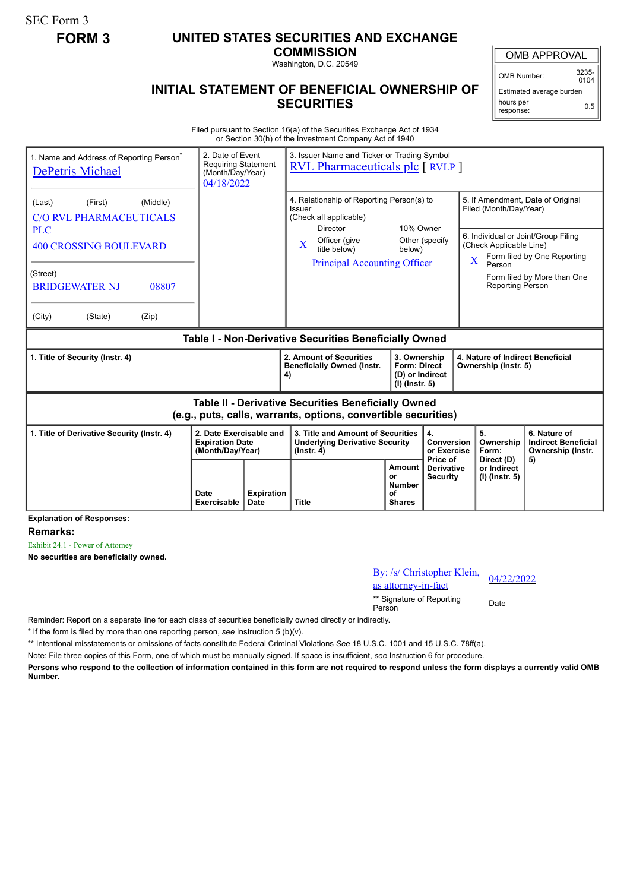SEC Form 3

## **FORM 3 UNITED STATES SECURITIES AND EXCHANGE**

**COMMISSION** Washington, D.C. 20549

OMB APPROVAL

OMB Number: 3235-  $0104$ 

0.5

**INITIAL STATEMENT OF BENEFICIAL OWNERSHIP OF** Estimated average burden

## hours per response:

**SECURITIES**

| Filed pursuant to Section 16(a) of the Securities Exchange Act of 1934 |  |
|------------------------------------------------------------------------|--|
| or Section 30(h) of the Investment Company Act of 1940                 |  |

| 1. Name and Address of Reporting Person<br><b>DePetris Michael</b>                                                           | 3. Issuer Name and Ticker or Trading Symbol<br><b>RVL Pharmaceuticals plc</b> [ RVLP ] |                           |                                                                                                                                                                                                                        |                                                             |                                                                                                                                      |                                                                                                                                                              |                                                                 |  |  |
|------------------------------------------------------------------------------------------------------------------------------|----------------------------------------------------------------------------------------|---------------------------|------------------------------------------------------------------------------------------------------------------------------------------------------------------------------------------------------------------------|-------------------------------------------------------------|--------------------------------------------------------------------------------------------------------------------------------------|--------------------------------------------------------------------------------------------------------------------------------------------------------------|-----------------------------------------------------------------|--|--|
| (Middle)<br>(Last)<br>(First)<br><b>C/O RVL PHARMACEUTICALS</b><br><b>PLC</b><br><b>400 CROSSING BOULEVARD</b>               |                                                                                        |                           | 4. Relationship of Reporting Person(s) to<br>Issuer<br>(Check all applicable)<br>10% Owner<br><b>Director</b><br>Officer (give<br>Other (specify<br>X<br>title below)<br>below)<br><b>Principal Accounting Officer</b> |                                                             |                                                                                                                                      | 5. If Amendment, Date of Original<br>Filed (Month/Day/Year)<br>6. Individual or Joint/Group Filing<br>(Check Applicable Line)<br>Form filed by One Reporting |                                                                 |  |  |
| (Street)<br><b>BRIDGEWATER NJ</b><br>08807<br>(City)<br>(State)<br>(Zip)                                                     |                                                                                        |                           |                                                                                                                                                                                                                        |                                                             |                                                                                                                                      | Person<br><b>Reporting Person</b>                                                                                                                            | Form filed by More than One                                     |  |  |
| Table I - Non-Derivative Securities Beneficially Owned                                                                       |                                                                                        |                           |                                                                                                                                                                                                                        |                                                             |                                                                                                                                      |                                                                                                                                                              |                                                                 |  |  |
| 1. Title of Security (Instr. 4)                                                                                              |                                                                                        |                           | 2. Amount of Securities<br><b>Beneficially Owned (Instr.</b><br>4)                                                                                                                                                     |                                                             | 4. Nature of Indirect Beneficial<br>3. Ownership<br><b>Form: Direct</b><br>Ownership (Instr. 5)<br>(D) or Indirect<br>(I) (Instr. 5) |                                                                                                                                                              |                                                                 |  |  |
| <b>Table II - Derivative Securities Beneficially Owned</b><br>(e.g., puts, calls, warrants, options, convertible securities) |                                                                                        |                           |                                                                                                                                                                                                                        |                                                             |                                                                                                                                      |                                                                                                                                                              |                                                                 |  |  |
| 1. Title of Derivative Security (Instr. 4)<br>2. Date Exercisable and<br><b>Expiration Date</b><br>(Month/Day/Year)          |                                                                                        |                           | 3. Title and Amount of Securities<br>4.<br><b>Underlying Derivative Security</b><br>$($ lnstr. 4 $)$                                                                                                                   |                                                             | <b>Conversion</b><br>or Exercise<br>Price of                                                                                         | 5.<br>Ownership<br>Form:                                                                                                                                     | 6. Nature of<br><b>Indirect Beneficial</b><br>Ownership (Instr. |  |  |
|                                                                                                                              | Date<br><b>Exercisable</b>                                                             | <b>Expiration</b><br>Date | <b>Title</b>                                                                                                                                                                                                           | <b>Amount</b><br>or<br><b>Number</b><br>οf<br><b>Shares</b> | <b>Derivative</b><br><b>Security</b>                                                                                                 | Direct (D)<br>or Indirect<br>(I) (Instr. 5)                                                                                                                  | 5)                                                              |  |  |

**Explanation of Responses:**

**Remarks:**

Exhibit 24.1 - Power of Attorney

**No securities are beneficially owned.**

| By: /s/ Christopher Klein,<br>as attorney-in-fact | 04/22/2022 |
|---------------------------------------------------|------------|
| ** Signature of Reporting<br>Person               | Date       |

Reminder: Report on a separate line for each class of securities beneficially owned directly or indirectly.

\* If the form is filed by more than one reporting person, *see* Instruction 5 (b)(v).

\*\* Intentional misstatements or omissions of facts constitute Federal Criminal Violations *See* 18 U.S.C. 1001 and 15 U.S.C. 78ff(a).

Note: File three copies of this Form, one of which must be manually signed. If space is insufficient, *see* Instruction 6 for procedure.

**Persons who respond to the collection of information contained in this form are not required to respond unless the form displays a currently valid OMB Number.**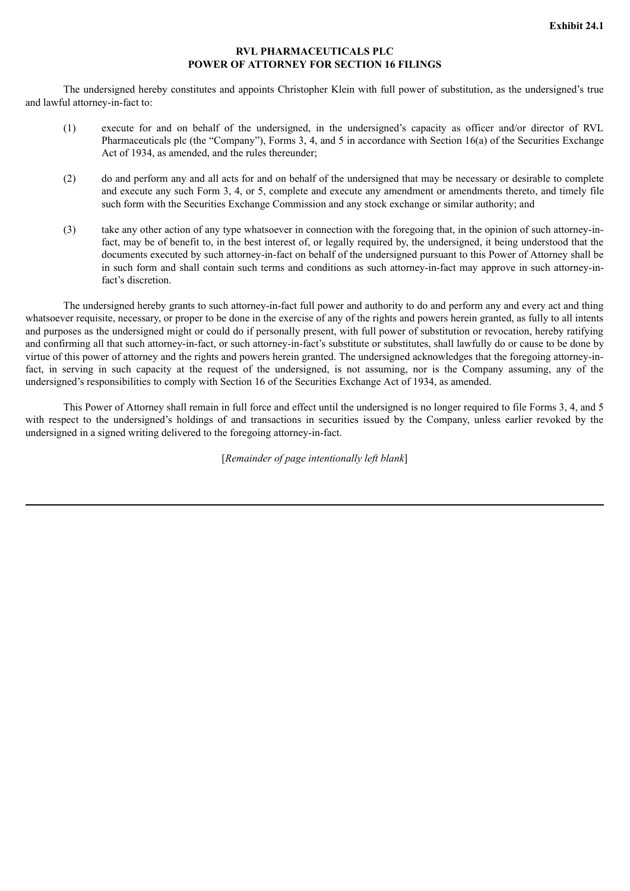## **RVL PHARMACEUTICALS PLC POWER OF ATTORNEY FOR SECTION 16 FILINGS**

The undersigned hereby constitutes and appoints Christopher Klein with full power of substitution, as the undersigned's true and lawful attorney-in-fact to:

- (1) execute for and on behalf of the undersigned, in the undersigned's capacity as officer and/or director of RVL Pharmaceuticals plc (the "Company"), Forms 3, 4, and 5 in accordance with Section 16(a) of the Securities Exchange Act of 1934, as amended, and the rules thereunder;
- (2) do and perform any and all acts for and on behalf of the undersigned that may be necessary or desirable to complete and execute any such Form 3, 4, or 5, complete and execute any amendment or amendments thereto, and timely file such form with the Securities Exchange Commission and any stock exchange or similar authority; and
- (3) take any other action of any type whatsoever in connection with the foregoing that, in the opinion of such attorney-infact, may be of benefit to, in the best interest of, or legally required by, the undersigned, it being understood that the documents executed by such attorney-in-fact on behalf of the undersigned pursuant to this Power of Attorney shall be in such form and shall contain such terms and conditions as such attorney-in-fact may approve in such attorney-infact's discretion

The undersigned hereby grants to such attorney-in-fact full power and authority to do and perform any and every act and thing whatsoever requisite, necessary, or proper to be done in the exercise of any of the rights and powers herein granted, as fully to all intents and purposes as the undersigned might or could do if personally present, with full power of substitution or revocation, hereby ratifying and confirming all that such attorney-in-fact, or such attorney-in-fact's substitute or substitutes, shall lawfully do or cause to be done by virtue of this power of attorney and the rights and powers herein granted. The undersigned acknowledges that the foregoing attorney-infact, in serving in such capacity at the request of the undersigned, is not assuming, nor is the Company assuming, any of the undersigned's responsibilities to comply with Section 16 of the Securities Exchange Act of 1934, as amended.

This Power of Attorney shall remain in full force and effect until the undersigned is no longer required to file Forms 3, 4, and 5 with respect to the undersigned's holdings of and transactions in securities issued by the Company, unless earlier revoked by the undersigned in a signed writing delivered to the foregoing attorney-in-fact.

[*Remainder of page intentionally left blank*]